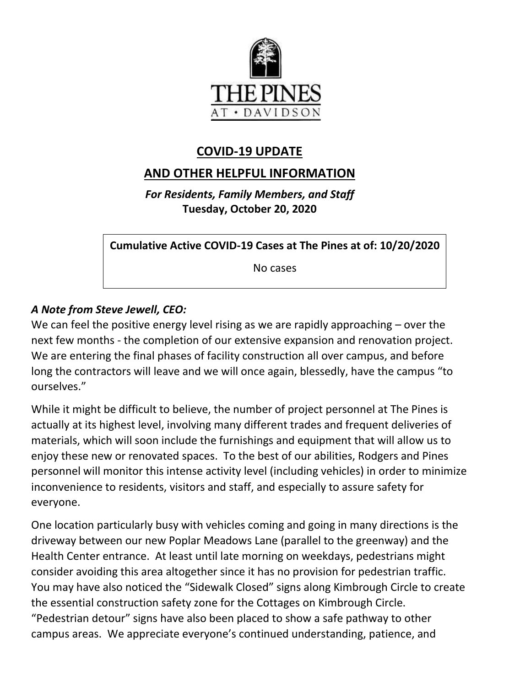

# **COVID-19 UPDATE**

# **AND OTHER HELPFUL INFORMATION**

*For Residents, Family Members, and Staff* **Tuesday, October 20, 2020**

**Cumulative Active COVID-19 Cases at The Pines at of: 10/20/2020**

No cases

### *A Note from Steve Jewell, CEO:*

We can feel the positive energy level rising as we are rapidly approaching – over the next few months - the completion of our extensive expansion and renovation project. We are entering the final phases of facility construction all over campus, and before long the contractors will leave and we will once again, blessedly, have the campus "to ourselves."

While it might be difficult to believe, the number of project personnel at The Pines is actually at its highest level, involving many different trades and frequent deliveries of materials, which will soon include the furnishings and equipment that will allow us to enjoy these new or renovated spaces. To the best of our abilities, Rodgers and Pines personnel will monitor this intense activity level (including vehicles) in order to minimize inconvenience to residents, visitors and staff, and especially to assure safety for everyone.

One location particularly busy with vehicles coming and going in many directions is the driveway between our new Poplar Meadows Lane (parallel to the greenway) and the Health Center entrance. At least until late morning on weekdays, pedestrians might consider avoiding this area altogether since it has no provision for pedestrian traffic. You may have also noticed the "Sidewalk Closed" signs along Kimbrough Circle to create the essential construction safety zone for the Cottages on Kimbrough Circle. "Pedestrian detour" signs have also been placed to show a safe pathway to other campus areas. We appreciate everyone's continued understanding, patience, and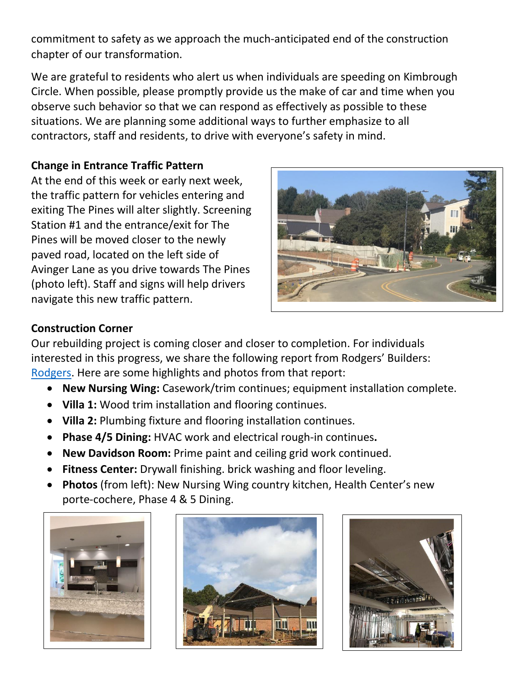commitment to safety as we approach the much-anticipated end of the construction chapter of our transformation.

We are grateful to residents who alert us when individuals are speeding on Kimbrough Circle. When possible, please promptly provide us the make of car and time when you observe such behavior so that we can respond as effectively as possible to these situations. We are planning some additional ways to further emphasize to all contractors, staff and residents, to drive with everyone's safety in mind.

### **Change in Entrance Traffic Pattern**

At the end of this week or early next week, the traffic pattern for vehicles entering and exiting The Pines will alter slightly. Screening Station #1 and the entrance/exit for The Pines will be moved closer to the newly paved road, located on the left side of Avinger Lane as you drive towards The Pines (photo left). Staff and signs will help drivers navigate this new traffic pattern.



### **Construction Corner**

Our rebuilding project is coming closer and closer to completion. For individuals interested in this progress, we share the following report from Rodgers' Builders: [Rodgers.](https://www.mycommunity-center.com/filephotos/463/2020-10-16%20Weekly%20Update.pdf) Here are some highlights and photos from that report:

- **New Nursing Wing:** Casework/trim continues; equipment installation complete.
- **Villa 1:** Wood trim installation and flooring continues.
- **Villa 2:** Plumbing fixture and flooring installation continues.
- **Phase 4/5 Dining:** HVAC work and electrical rough-in continues**.**
- **New Davidson Room:** Prime paint and ceiling grid work continued.
- **Fitness Center:** Drywall finishing. brick washing and floor leveling.
- **Photos** (from left): New Nursing Wing country kitchen, Health Center's new porte-cochere, Phase 4 & 5 Dining.